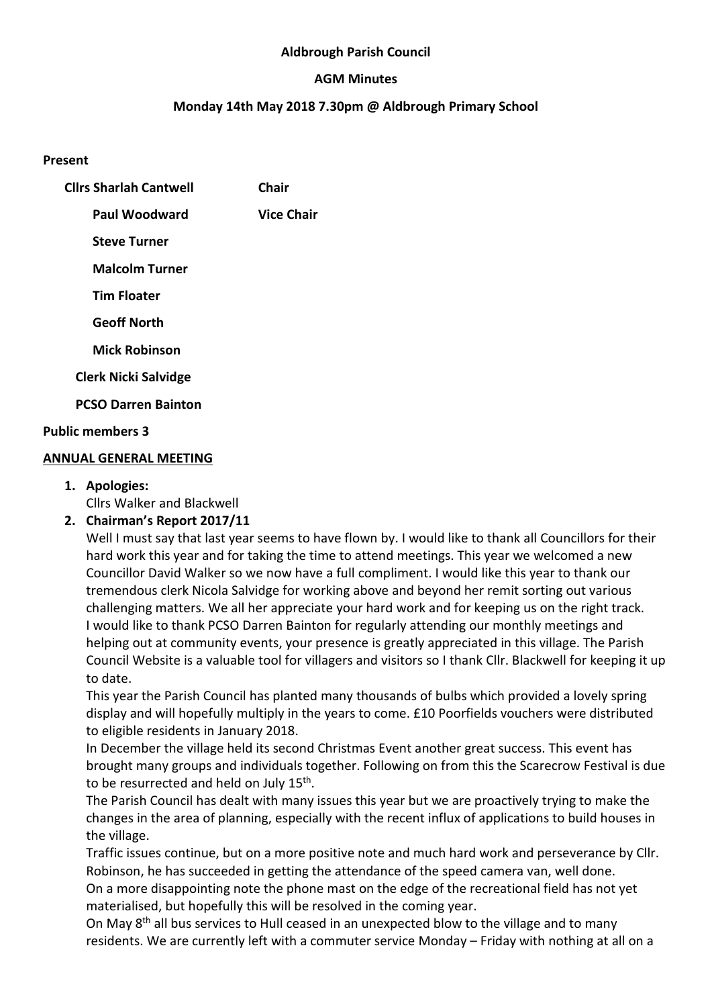#### **Aldbrough Parish Council**

#### **AGM Minutes**

#### **Monday 14th May 2018 7.30pm @ Aldbrough Primary School**

#### **Present**

| <b>Clirs Sharlah Cantwell</b> | Chair             |
|-------------------------------|-------------------|
| Paul Woodward                 | <b>Vice Chair</b> |
| <b>Steve Turner</b>           |                   |
| <b>Malcolm Turner</b>         |                   |
| <b>Tim Floater</b>            |                   |
| <b>Geoff North</b>            |                   |
| <b>Mick Robinson</b>          |                   |
| <b>Clerk Nicki Salvidge</b>   |                   |
| <b>PCSO Darren Bainton</b>    |                   |
| <b>Public members 3</b>       |                   |

#### **ANNUAL GENERAL MEETING**

**1. Apologies:** 

Cllrs Walker and Blackwell

**2. Chairman's Report 2017/11** 

Well I must say that last year seems to have flown by. I would like to thank all Councillors for their hard work this year and for taking the time to attend meetings. This year we welcomed a new Councillor David Walker so we now have a full compliment. I would like this year to thank our tremendous clerk Nicola Salvidge for working above and beyond her remit sorting out various challenging matters. We all her appreciate your hard work and for keeping us on the right track. I would like to thank PCSO Darren Bainton for regularly attending our monthly meetings and helping out at community events, your presence is greatly appreciated in this village. The Parish Council Website is a valuable tool for villagers and visitors so I thank Cllr. Blackwell for keeping it up to date.

This year the Parish Council has planted many thousands of bulbs which provided a lovely spring display and will hopefully multiply in the years to come. £10 Poorfields vouchers were distributed to eligible residents in January 2018.

In December the village held its second Christmas Event another great success. This event has brought many groups and individuals together. Following on from this the Scarecrow Festival is due to be resurrected and held on July 15<sup>th</sup>.

The Parish Council has dealt with many issues this year but we are proactively trying to make the changes in the area of planning, especially with the recent influx of applications to build houses in the village.

Traffic issues continue, but on a more positive note and much hard work and perseverance by Cllr. Robinson, he has succeeded in getting the attendance of the speed camera van, well done.

On a more disappointing note the phone mast on the edge of the recreational field has not yet materialised, but hopefully this will be resolved in the coming year.

On May  $8<sup>th</sup>$  all bus services to Hull ceased in an unexpected blow to the village and to many residents. We are currently left with a commuter service Monday – Friday with nothing at all on a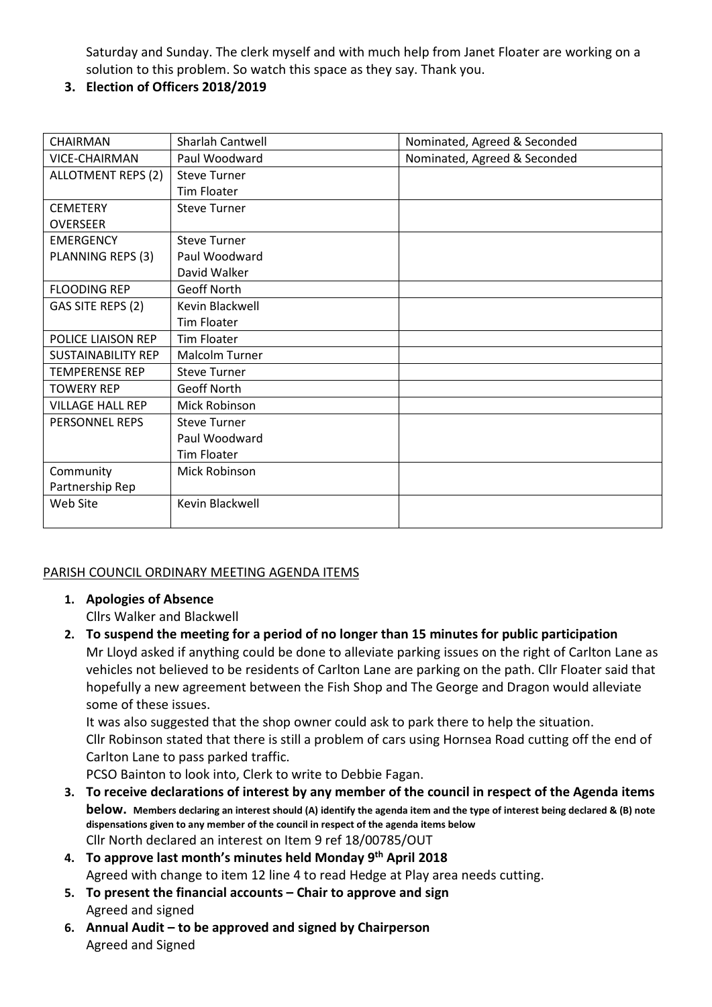Saturday and Sunday. The clerk myself and with much help from Janet Floater are working on a solution to this problem. So watch this space as they say. Thank you.

### **3. Election of Officers 2018/2019**

| <b>CHAIRMAN</b>           | Sharlah Cantwell      | Nominated, Agreed & Seconded |
|---------------------------|-----------------------|------------------------------|
| <b>VICE-CHAIRMAN</b>      | Paul Woodward         | Nominated, Agreed & Seconded |
| ALLOTMENT REPS (2)        | <b>Steve Turner</b>   |                              |
|                           | Tim Floater           |                              |
| <b>CEMETERY</b>           | <b>Steve Turner</b>   |                              |
| <b>OVERSEER</b>           |                       |                              |
| <b>EMERGENCY</b>          | <b>Steve Turner</b>   |                              |
| PLANNING REPS (3)         | Paul Woodward         |                              |
|                           | David Walker          |                              |
| <b>FLOODING REP</b>       | Geoff North           |                              |
| GAS SITE REPS (2)         | Kevin Blackwell       |                              |
|                           | <b>Tim Floater</b>    |                              |
| POLICE LIAISON REP        | <b>Tim Floater</b>    |                              |
| <b>SUSTAINABILITY REP</b> | <b>Malcolm Turner</b> |                              |
| <b>TEMPERENSE REP</b>     | <b>Steve Turner</b>   |                              |
| <b>TOWERY REP</b>         | Geoff North           |                              |
| <b>VILLAGE HALL REP</b>   | Mick Robinson         |                              |
| PERSONNEL REPS            | <b>Steve Turner</b>   |                              |
|                           | Paul Woodward         |                              |
|                           | <b>Tim Floater</b>    |                              |
| Community                 | Mick Robinson         |                              |
| Partnership Rep           |                       |                              |
| Web Site                  | Kevin Blackwell       |                              |
|                           |                       |                              |

### PARISH COUNCIL ORDINARY MEETING AGENDA ITEMS

**1. Apologies of Absence** 

Cllrs Walker and Blackwell

**2. To suspend the meeting for a period of no longer than 15 minutes for public participation**  Mr Lloyd asked if anything could be done to alleviate parking issues on the right of Carlton Lane as vehicles not believed to be residents of Carlton Lane are parking on the path. Cllr Floater said that hopefully a new agreement between the Fish Shop and The George and Dragon would alleviate some of these issues.

It was also suggested that the shop owner could ask to park there to help the situation. Cllr Robinson stated that there is still a problem of cars using Hornsea Road cutting off the end of Carlton Lane to pass parked traffic.

PCSO Bainton to look into, Clerk to write to Debbie Fagan.

- **3. To receive declarations of interest by any member of the council in respect of the Agenda items below. Members declaring an interest should (A) identify the agenda item and the type of interest being declared & (B) note dispensations given to any member of the council in respect of the agenda items below**  Cllr North declared an interest on Item 9 ref 18/00785/OUT
- **4. To approve last month's minutes held Monday 9th April 2018** Agreed with change to item 12 line 4 to read Hedge at Play area needs cutting.
- **5. To present the financial accounts Chair to approve and sign**  Agreed and signed
- **6. Annual Audit to be approved and signed by Chairperson**  Agreed and Signed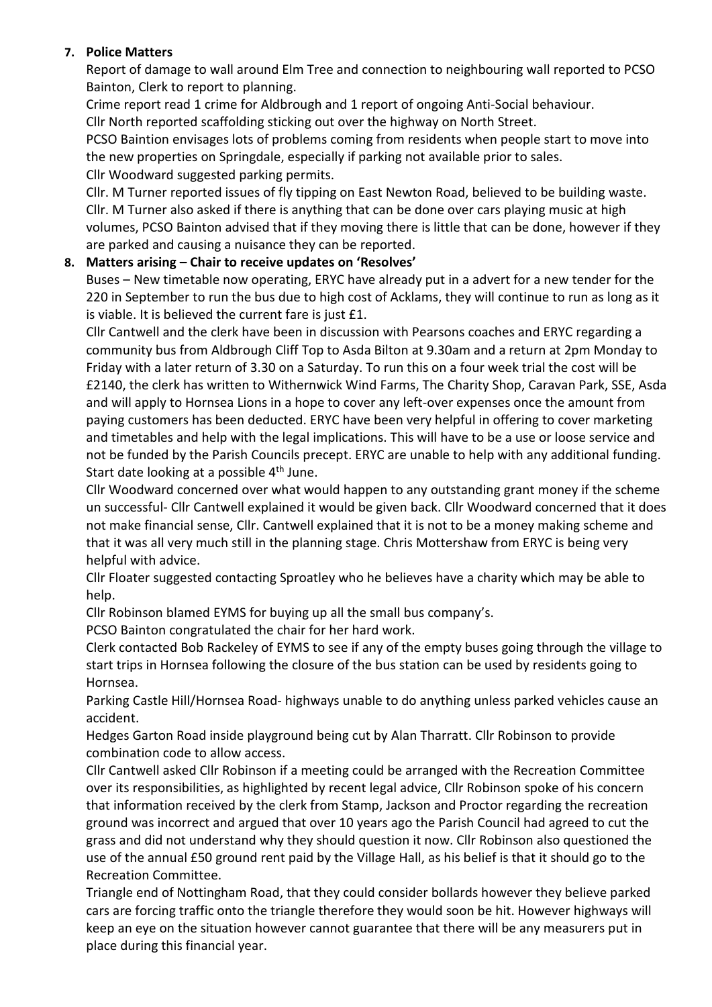### **7. Police Matters**

Report of damage to wall around Elm Tree and connection to neighbouring wall reported to PCSO Bainton, Clerk to report to planning.

Crime report read 1 crime for Aldbrough and 1 report of ongoing Anti-Social behaviour. Cllr North reported scaffolding sticking out over the highway on North Street.

PCSO Baintion envisages lots of problems coming from residents when people start to move into the new properties on Springdale, especially if parking not available prior to sales.

Cllr Woodward suggested parking permits.

Cllr. M Turner reported issues of fly tipping on East Newton Road, believed to be building waste. Cllr. M Turner also asked if there is anything that can be done over cars playing music at high volumes, PCSO Bainton advised that if they moving there is little that can be done, however if they are parked and causing a nuisance they can be reported.

# **8. Matters arising – Chair to receive updates on 'Resolves'**

Buses – New timetable now operating, ERYC have already put in a advert for a new tender for the 220 in September to run the bus due to high cost of Acklams, they will continue to run as long as it is viable. It is believed the current fare is just £1.

Cllr Cantwell and the clerk have been in discussion with Pearsons coaches and ERYC regarding a community bus from Aldbrough Cliff Top to Asda Bilton at 9.30am and a return at 2pm Monday to Friday with a later return of 3.30 on a Saturday. To run this on a four week trial the cost will be £2140, the clerk has written to Withernwick Wind Farms, The Charity Shop, Caravan Park, SSE, Asda and will apply to Hornsea Lions in a hope to cover any left-over expenses once the amount from paying customers has been deducted. ERYC have been very helpful in offering to cover marketing and timetables and help with the legal implications. This will have to be a use or loose service and not be funded by the Parish Councils precept. ERYC are unable to help with any additional funding. Start date looking at a possible 4<sup>th</sup> June.

Cllr Woodward concerned over what would happen to any outstanding grant money if the scheme un successful- Cllr Cantwell explained it would be given back. Cllr Woodward concerned that it does not make financial sense, Cllr. Cantwell explained that it is not to be a money making scheme and that it was all very much still in the planning stage. Chris Mottershaw from ERYC is being very helpful with advice.

Cllr Floater suggested contacting Sproatley who he believes have a charity which may be able to help.

Cllr Robinson blamed EYMS for buying up all the small bus company's.

PCSO Bainton congratulated the chair for her hard work.

Clerk contacted Bob Rackeley of EYMS to see if any of the empty buses going through the village to start trips in Hornsea following the closure of the bus station can be used by residents going to Hornsea.

Parking Castle Hill/Hornsea Road- highways unable to do anything unless parked vehicles cause an accident.

Hedges Garton Road inside playground being cut by Alan Tharratt. Cllr Robinson to provide combination code to allow access.

Cllr Cantwell asked Cllr Robinson if a meeting could be arranged with the Recreation Committee over its responsibilities, as highlighted by recent legal advice, Cllr Robinson spoke of his concern that information received by the clerk from Stamp, Jackson and Proctor regarding the recreation ground was incorrect and argued that over 10 years ago the Parish Council had agreed to cut the grass and did not understand why they should question it now. Cllr Robinson also questioned the use of the annual £50 ground rent paid by the Village Hall, as his belief is that it should go to the Recreation Committee.

Triangle end of Nottingham Road, that they could consider bollards however they believe parked cars are forcing traffic onto the triangle therefore they would soon be hit. However highways will keep an eye on the situation however cannot guarantee that there will be any measurers put in place during this financial year.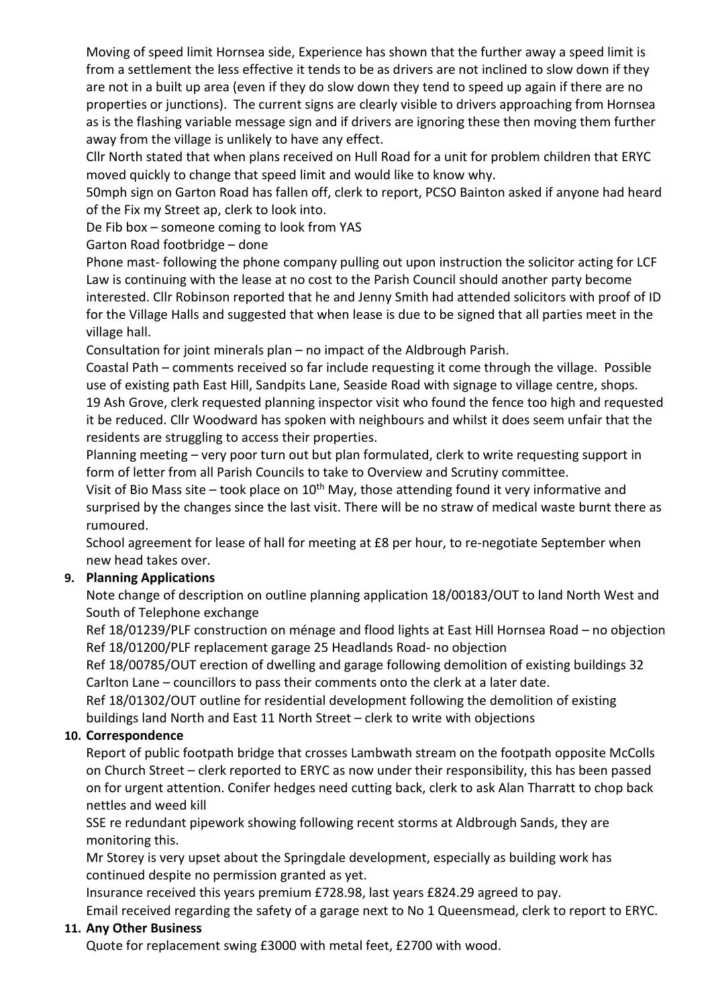Moving of speed limit Hornsea side, Experience has shown that the further away a speed limit is from a settlement the less effective it tends to be as drivers are not inclined to slow down if they are not in a built up area (even if they do slow down they tend to speed up again if there are no properties or junctions). The current signs are clearly visible to drivers approaching from Hornsea as is the flashing variable message sign and if drivers are ignoring these then moving them further away from the village is unlikely to have any effect.

Cllr North stated that when plans received on Hull Road for a unit for problem children that ERYC moved quickly to change that speed limit and would like to know why.

50mph sign on Garton Road has fallen off, clerk to report, PCSO Bainton asked if anyone had heard of the Fix my Street ap, clerk to look into.

De Fib box – someone coming to look from YAS

Garton Road footbridge – done

Phone mast- following the phone company pulling out upon instruction the solicitor acting for LCF Law is continuing with the lease at no cost to the Parish Council should another party become interested. Cllr Robinson reported that he and Jenny Smith had attended solicitors with proof of ID for the Village Halls and suggested that when lease is due to be signed that all parties meet in the village hall.

Consultation for joint minerals plan – no impact of the Aldbrough Parish.

Coastal Path – comments received so far include requesting it come through the village. Possible use of existing path East Hill, Sandpits Lane, Seaside Road with signage to village centre, shops. 19 Ash Grove, clerk requested planning inspector visit who found the fence too high and requested it be reduced. Cllr Woodward has spoken with neighbours and whilst it does seem unfair that the residents are struggling to access their properties.

Planning meeting – very poor turn out but plan formulated, clerk to write requesting support in form of letter from all Parish Councils to take to Overview and Scrutiny committee.

Visit of Bio Mass site – took place on  $10^{th}$  May, those attending found it very informative and surprised by the changes since the last visit. There will be no straw of medical waste burnt there as rumoured.

School agreement for lease of hall for meeting at £8 per hour, to re-negotiate September when new head takes over.

# **9. Planning Applications**

Note change of description on outline planning application 18/00183/OUT to land North West and South of Telephone exchange

Ref 18/01239/PLF construction on ménage and flood lights at East Hill Hornsea Road – no objection Ref 18/01200/PLF replacement garage 25 Headlands Road- no objection

Ref 18/00785/OUT erection of dwelling and garage following demolition of existing buildings 32 Carlton Lane – councillors to pass their comments onto the clerk at a later date.

Ref 18/01302/OUT outline for residential development following the demolition of existing buildings land North and East 11 North Street – clerk to write with objections

# **10. Correspondence**

Report of public footpath bridge that crosses Lambwath stream on the footpath opposite McColls on Church Street – clerk reported to ERYC as now under their responsibility, this has been passed on for urgent attention. Conifer hedges need cutting back, clerk to ask Alan Tharratt to chop back nettles and weed kill

SSE re redundant pipework showing following recent storms at Aldbrough Sands, they are monitoring this.

Mr Storey is very upset about the Springdale development, especially as building work has continued despite no permission granted as yet.

Insurance received this years premium £728.98, last years £824.29 agreed to pay.

Email received regarding the safety of a garage next to No 1 Queensmead, clerk to report to ERYC.

### **11. Any Other Business**

Quote for replacement swing £3000 with metal feet, £2700 with wood.